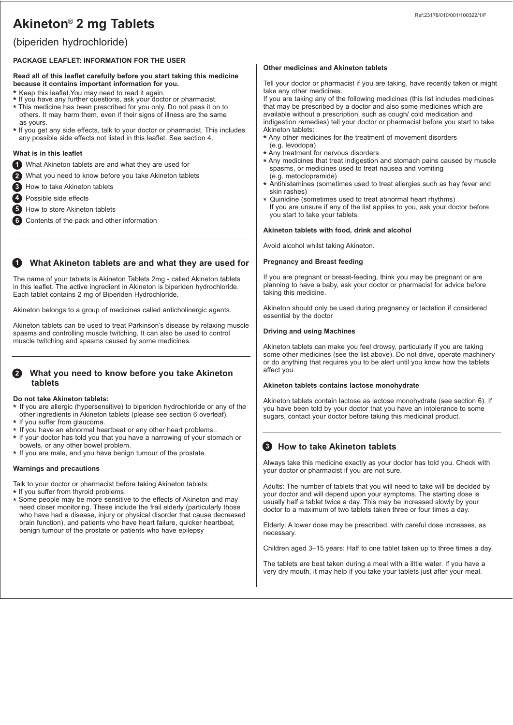# Akineton® 2 mg Tablets

# (biperiden hydrochloride)

### **PACKAGE LEAFLET: INFORMATION FOR THE USER**

#### **Read all of this leaflet carefully before you start taking this medicine because it contains important information for you.**

- 
- **\*** Keep this leaflet.You may need to read it again. **\*** If you have any further questions, ask your doctor or pharmacist.
- **\*** This medicine has been prescribed for you only. Do not pass it on to others. It may harm them, even if their signs of illness are the same as yours.
- **\*** If you get any side effects, talk to your doctor or pharmacist. This includes any possible side effects not listed in this leaflet. See section 4.

### **What is in this leaflet**

- What Akineton tablets are and what they are used for **1**
- What you need to know before you take Akineton tablets **2**
- How to take Akineton tablets **3**
- Possible side effects **4**
- How to store Akineton tablets **5**
- Contents of the pack and other information **6**

### **1** What Akineton tablets are and what they are used for

The name of your tablets is Akineton Tablets 2mg - called Akineton tablets in this leaflet. The active ingredient in Akineton is biperiden hydrochloride. Each tablet contains 2 mg of Biperiden Hydrochloride.

Akineton belongs to a group of medicines called anticholinergic agents.

Akineton tablets can be used to treat Parkinson's disease by relaxing muscle spasms and controlling muscle twitching. It can also be used to control muscle twitching and spasms caused by some medicines.

### **What you need to know before you take Akineton 2 tablets**

#### **Do not take Akineton tablets:**

- **\*** If you are allergic (hypersensitive) to biperiden hydrochloride or any of the other ingredients in Akineton tablets (please see section 6 overleaf).
- **\*** If you suffer from glaucoma.
- **\*** If you have an abnormal heartbeat or any other heart problems..
- **\*** If your doctor has told you that you have a narrowing of your stomach or bowels, or any other bowel problem.
- **\*** If you are male, and you have benign tumour of the prostate.

### **Warnings and precautions**

Talk to your doctor or pharmacist before taking Akineton tablets:

- **\*** If you suffer from thyroid problems.
- **\*** Some people may be more sensitive to the effects of Akineton and may need closer monitoring. These include the frail elderly (particularly those who have had a disease, injury or physical disorder that cause decreased brain function), and patients who have heart failure, quicker heartbeat, benign tumour of the prostate or patients who have epilepsy

#### **Other medicines and Akineton tablets**

Tell your doctor or pharmacist if you are taking, have recently taken or might take any other medicines.

If you are taking any of the following medicines (this list includes medicines that may be prescribed by a doctor and also some medicines which are available without a prescription, such as cough/ cold medication and indigestion remedies) tell your doctor or pharmacist before you start to take Akineton tablets:

- **\*** Any other medicines for the treatment of movement disorders (e.g. levodopa)
- **\*** Any treatment for nervous disorders
- **\*** Any medicines that treat indigestion and stomach pains caused by muscle spasms, or medicines used to treat nausea and vomiting (e.g. metoclopramide)
- **\*** Antihistamines (sometimes used to treat allergies such as hay fever and skin rashes)
- **\*** Quinidine (sometimes used to treat abnormal heart rhythms) If you are unsure if any of the list applies to you, ask your doctor before you start to take your tablets.

### **Akineton tablets with food, drink and alcohol**

Avoid alcohol whilst taking Akineton.

### **Pregnancy and Breast feeding**

If you are pregnant or breast-feeding, think you may be pregnant or are planning to have a baby, ask your doctor or pharmacist for advice before taking this medicine.

Akineton should only be used during pregnancy or lactation if considered essential by the doctor

#### **Driving and using Machines**

Akineton tablets can make you feel drowsy, particularly if you are taking some other medicines (see the list above). Do not drive, operate machinery or do anything that requires you to be alert until you know how the tablets affect you.

#### **Akineton tablets contains lactose monohydrate**

Akineton tablets contain lactose as lactose monohydrate (see section 6). If you have been told by your doctor that you have an intolerance to some sugars, contact your doctor before taking this medicinal product.

## **8** How to take Akineton tablets

Always take this medicine exactly as your doctor has told you. Check with your doctor or pharmacist if you are not sure.

Adults: The number of tablets that you will need to take will be decided by your doctor and will depend upon your symptoms. The starting dose is usually half a tablet twice a day. This may be increased slowly by your doctor to a maximum of two tablets taken three or four times a day.

Elderly: A lower dose may be prescribed, with careful dose increases, as necessary.

Children aged 3–15 years: Half to one tablet taken up to three times a day.

The tablets are best taken during a meal with a little water. If you have a very dry mouth, it may help if you take your tablets just after your meal.